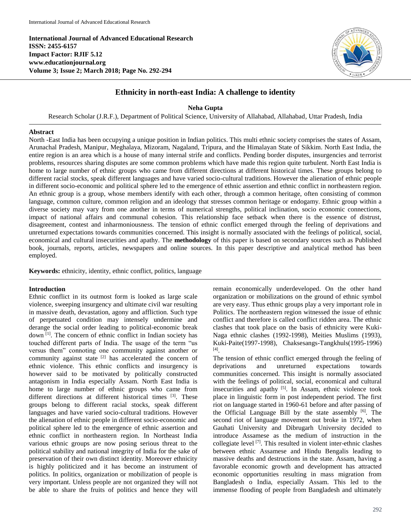**International Journal of Advanced Educational Research ISSN: 2455-6157 Impact Factor: RJIF 5.12 www.educationjournal.org Volume 3; Issue 2; March 2018; Page No. 292-294**



# **Ethnicity in north-east India: A challenge to identity**

**Neha Gupta**

Research Scholar (J.R.F.), Department of Political Science, University of Allahabad, Allahabad, Uttar Pradesh, India

### **Abstract**

North -East India has been occupying a unique position in Indian politics. This multi ethnic society comprises the states of Assam, Arunachal Pradesh, Manipur, Meghalaya, Mizoram, Nagaland, Tripura, and the Himalayan State of Sikkim. North East India, the entire region is an area which is a house of many internal strife and conflicts. Pending border disputes, insurgencies and terrorist problems, resources sharing disputes are some common problems which have made this region quite turbulent. North East India is home to large number of ethnic groups who came from different directions at different historical times. These groups belong to different racial stocks, speak different languages and have varied socio-cultural traditions. However the alienation of ethnic people in different socio-economic and political sphere led to the emergence of ethnic assertion and ethnic conflict in northeastern region. An ethnic group is a group, whose members identify with each other, through a common heritage, often consisting of common language, common culture, common religion and an ideology that stresses common heritage or endogamy. Ethnic group within a diverse society may vary from one another in terms of numerical strengths, political inclination, socio economic connections, impact of national affairs and communal cohesion. This relationship face setback when there is the essence of distrust, disagreement, contest and inharmoniousness. The tension of ethnic conflict emerged through the feeling of deprivations and unreturned expectations towards communities concerned. This insight is normally associated with the feelings of political, social, economical and cultural insecurities and apathy. The **methodology** of this paper is based on secondary sources such as Published book, journals, reports, articles, newspapers and online sources. In this paper descriptive and analytical method has been employed.

**Keywords:** ethnicity, identity, ethnic conflict, politics, language

## **Introduction**

Ethnic conflict in its outmost form is looked as large scale violence, sweeping insurgency and ultimate civil war resulting in massive death, devastation, agony and affliction. Such type of perpetuated condition may intensely undermine and derange the social order leading to political-economic break down [1]. The concern of ethnic conflict in Indian society has touched different parts of India. The usage of the term "us versus them" connoting one community against another or community against state <sup>[2]</sup> has accelerated the concern of ethnic violence. This ethnic conflicts and insurgency is however said to be motivated by politically constructed antagonism in India especially Assam. North East India is home to large number of ethnic groups who came from different directions at different historical times [3]. These groups belong to different racial stocks, speak different languages and have varied socio-cultural traditions. However the alienation of ethnic people in different socio-economic and political sphere led to the emergence of ethnic assertion and ethnic conflict in northeastern region. In Northeast India various ethnic groups are now posing serious threat to the political stability and national integrity of India for the sake of preservation of their own distinct identity. Moreover ethnicity is highly politicized and it has become an instrument of politics. In politics, organization or mobilization of people is very important. Unless people are not organized they will not be able to share the fruits of politics and hence they will

remain economically underdeveloped. On the other hand organization or mobilizations on the ground of ethnic symbol are very easy. Thus ethnic groups play a very important role in Politics. The northeastern region witnessed the issue of ethnic conflict and therefore is called conflict ridden area. The ethnic clashes that took place on the basis of ethnicity were Kuki-Naga ethnic clashes (1992-1998), Meities Muslims (1993), Kuki-Paite(1997-1998), Chaksesangs-Tangkhuls(1995-1996) [4] .

The tension of ethnic conflict emerged through the feeling of deprivations and unreturned expectations towards communities concerned. This insight is normally associated with the feelings of political, social, economical and cultural insecurities and apathy [5]. In Assam, ethnic violence took place in linguistic form in post independent period. The first riot on language started in 1960-61 before and after passing of the Official Language Bill by the state assembly <sup>[6]</sup>. The second riot of language movement out broke in 1972, when Gauhati University and Dibrugarh University decided to introduce Assamese as the medium of instruction in the collegiate level [7] . This resulted in violent inter-ethnic clashes between ethnic Assamese and Hindu Bengalis leading to massive deaths and destructions in the state. Assam, having a favorable economic growth and development has attracted economic opportunities resulting in mass migration from Bangladesh o India, especially Assam. This led to the immense flooding of people from Bangladesh and ultimately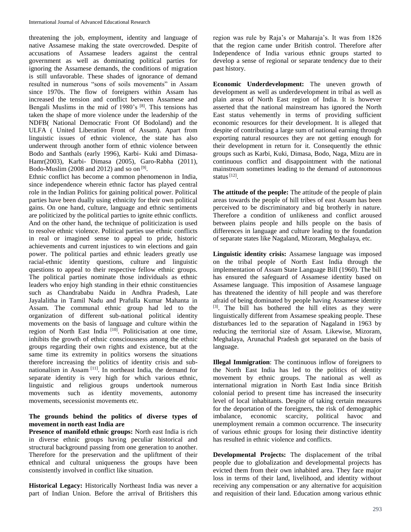threatening the job, employment, identity and language of native Assamese making the state overcrowded. Despite of accusations of Assamese leaders against the central government as well as dominating political parties for ignoring the Assamese demands, the conditions of migration is still unfavorable. These shades of ignorance of demand resulted in numerous "sons of soils movements" in Assam since 1970s. The flow of foreigners within Assam has increased the tension and conflict between Assamese and Bengali Muslims in the mid of 1980's [8]. This tensions has taken the shape of more violence under the leadership of the NDFB( National Democratic Front Of Bodoland) and the ULFA ( United Liberation Front of Assam). Apart from linguistic issues of ethnic violence, the state has also underwent through another form of ethnic violence between Bodo and Santhals (early 1996), Karbi- Kuki amd Dimasa-Hamr(2003), Karbi- Dimasa (2005), Garo-Rabha (2011), Bodo-Muslim (2008 and 2012) and so on  $[9]$ .

Ethnic conflict has become a common phenomenon in India, since independence wherein ethnic factor has played central role in the Indian Politics for gaining political power. Political parties have been dually using ethnicity for their own political gains. On one hand, culture, language and ethnic sentiments are politicized by the political parties to ignite ethnic conflicts. And on the other hand, the technique of politicization is used to resolve ethnic violence. Political parties use ethnic conflicts in real or imagined sense to appeal to pride, historic achievements and current injustices to win elections and gain power. The political parties and ethnic leaders greatly use racial-ethnic identity questions, culture and linguistic questions to appeal to their respective fellow ethnic groups. The political parties nominate those individuals as ethnic leaders who enjoy high standing in their ethnic constituencies such as Chandrababu Naidu in Andhra Pradesh, Late Jayalalitha in Tamil Nadu and Prafulla Kumar Mahanta in Assam. The communal ethnic group had led to the organization of different sub-national political identity movements on the basis of language and culture within the region of North East India<sup>[10]</sup>. Politicisation at one time, inhibits the growth of ethnic consciousness among the ethnic groups regarding their own rights and existence, but at the same time its extremity in politics worsens the situations therefore increasing the politics of identity crisis and subnationalism in Assam [11] . In northeast India, the demand for separate identity is very high for which various ethnic, linguistic and religious groups undertook numerous movements such as identity movements, autonomy movements, secessionist movements etc.

# **The grounds behind the politics of diverse types of movement in north east India are**

**Presence of manifold ethnic groups:** North east India is rich in diverse ethnic groups having peculiar historical and structural background passing from one generation to another. Therefore for the preservation and the upliftment of their ethnical and cultural uniqueness the groups have been consistently involved in conflict like situation.

**Historical Legacy:** Historically Northeast India was never a part of Indian Union. Before the arrival of Britishers this

region was rule by Raja's or Maharaja's. It was from 1826 that the region came under British control. Therefore after Independence of India various ethnic groups started to develop a sense of regional or separate tendency due to their past history.

**Economic Underdevelopment:** The uneven growth of development as well as underdevelopment in tribal as well as plain areas of North East region of India. It is however asserted that the national mainstream has ignored the North East status vehemently in terms of providing sufficient economic resources for their development. It is alleged that despite of contributing a large sum of national earning through exporting natural resources they are not getting enough for their development in return for it. Consequently the ethnic groups such as Karbi, Kuki, Dimasa, Bodo, Naga, Mizu are in continuous conflict and disappointment with the national mainstream sometimes leading to the demand of autonomous status <sup>[12]</sup>.

**The attitude of the people:** The attitude of the people of plain areas towards the people of hill tribes of east Assam has been perceived to be discriminatory and big brotherly in nature. Therefore a condition of unlikeness and conflict aroused between plains people and hills people on the basis of differences in language and culture leading to the foundation of separate states like Nagaland, Mizoram, Meghalaya, etc.

**Linguistic identity crisis:** Assamese language was imposed on the tribal people of North East India through the implementation of Assam State Language Bill (1960). The bill has ensured the safeguard of Assamese identity based on Assamese language. This imposition of Assamese language has threatened the identity of hill people and was therefore afraid of being dominated by people having Assamese identity [3]. The bill has bothered the hill elites as they were linguistically different from Assamese speaking people. These disturbances led to the separation of Nagaland in 1963 by reducing the territorial size of Assam. Likewise, Mizoram, Meghalaya, Arunachal Pradesh got separated on the basis of language.

**Illegal Immigration**: The continuous inflow of foreigners to the North East India has led to the politics of identity movement by ethnic groups. The national as well as international migration in North East India since British colonial period to present time has increased the insecurity level of local inhabitants. Despite of taking certain measures for the deportation of the foreigners, the risk of demographic imbalance, economic scarcity, political havoc and unemployment remain a common occurrence. The insecurity of various ethnic groups for losing their distinctive identity has resulted in ethnic violence and conflicts.

**Developmental Projects:** The displacement of the tribal people due to globalization and developmental projects has evicted them from their own inhabited area. They face major loss in terms of their land, livelihood, and identity without receiving any compensation or any alternative for acquisition and requisition of their land. Education among various ethnic